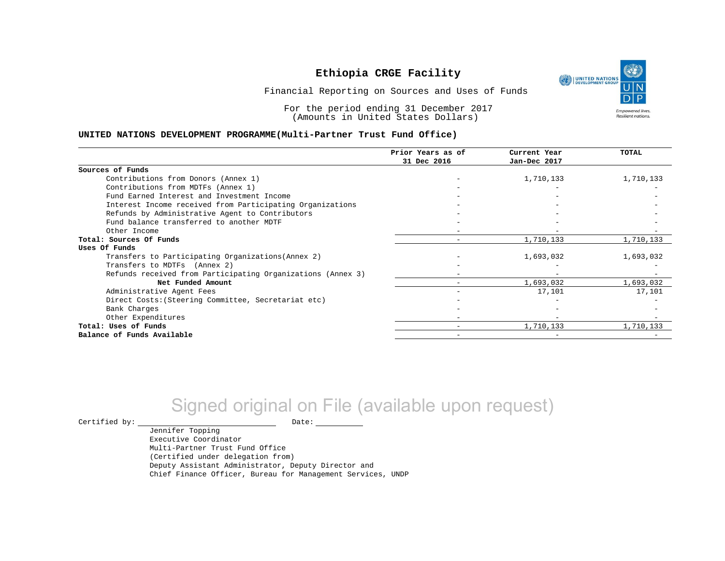UNITED NATIONS **Empowered lives** Resilient nations.

Financial Reporting on Sources and Uses of Funds

For the period ending 31 December 2017 (Amounts in United States Dollars)

#### **UNITED NATIONS DEVELOPMENT PROGRAMME(Multi-Partner Trust Fund Office)**

|                                                             | Prior Years as of | Current Year | TOTAL     |
|-------------------------------------------------------------|-------------------|--------------|-----------|
|                                                             | 31 Dec 2016       | Jan-Dec 2017 |           |
| Sources of Funds                                            |                   |              |           |
| Contributions from Donors (Annex 1)                         |                   | 1,710,133    | 1,710,133 |
| Contributions from MDTFs (Annex 1)                          |                   |              |           |
| Fund Earned Interest and Investment Income                  |                   |              |           |
| Interest Income received from Participating Organizations   |                   |              |           |
| Refunds by Administrative Agent to Contributors             |                   |              |           |
| Fund balance transferred to another MDTF                    |                   |              |           |
| Other Income                                                |                   |              |           |
| Total: Sources Of Funds                                     |                   | 1,710,133    | 1,710,133 |
| Uses Of Funds                                               |                   |              |           |
| Transfers to Participating Organizations (Annex 2)          |                   | 1,693,032    | 1,693,032 |
| Transfers to MDTFs (Annex 2)                                |                   |              |           |
| Refunds received from Participating Organizations (Annex 3) |                   |              |           |
| Net Funded Amount                                           |                   | 1,693,032    | 1,693,032 |
| Administrative Agent Fees                                   |                   | 17,101       | 17,101    |
| Direct Costs: (Steering Committee, Secretariat etc)         |                   |              |           |
| Bank Charges                                                |                   |              |           |
| Other Expenditures                                          |                   |              |           |
| Total: Uses of Funds                                        |                   | 1,710,133    | 1,710,133 |
| Balance of Funds Available                                  |                   |              |           |

# Signed original on File (available upon request)

 $\begin{picture}(180,180)(0,0) \put(0,0){\vector(1,0){180}} \put(15,0){\vector(1,0){180}} \put(15,0){\vector(1,0){180}} \put(15,0){\vector(1,0){180}} \put(15,0){\vector(1,0){180}} \put(15,0){\vector(1,0){180}} \put(15,0){\vector(1,0){180}} \put(15,0){\vector(1,0){180}} \put(15,0){\vector(1,0){180}} \put(15,0){\vector(1,0){180}} \put(15,0){\vector(1,0$ 

Jennifer Topping Executive Coordinator Multi-Partner Trust Fund Office (Certified under delegation from) Deputy Assistant Administrator, Deputy Director and Chief Finance Officer, Bureau for Management Services, UNDP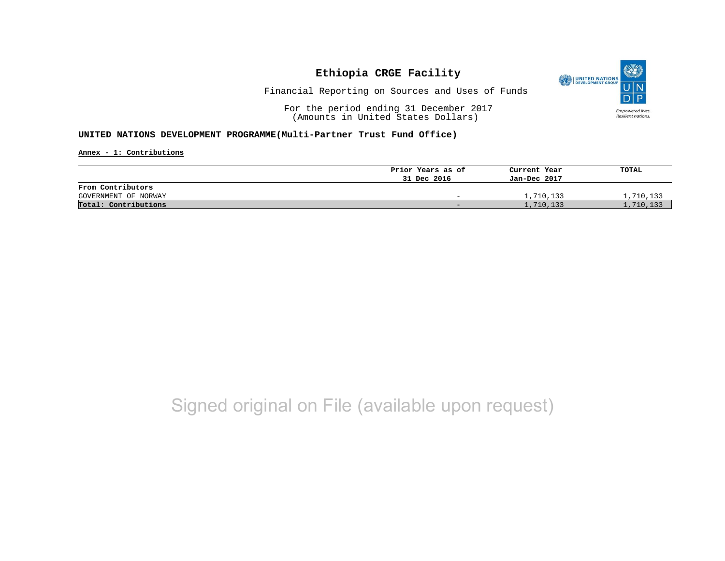

Financial Reporting on Sources and Uses of Funds

For the period ending 31 December 2017 (Amounts in United States Dollars)

#### **UNITED NATIONS DEVELOPMENT PROGRAMME(Multi-Partner Trust Fund Office)**

**Annex - 1: Contributions**

|                      | Prior Years as of | Current Year | TOTAL     |
|----------------------|-------------------|--------------|-----------|
|                      | 31 Dec 2016       | Jan-Dec 2017 |           |
| From Contributors    |                   |              |           |
| GOVERNMENT OF NORWAY | -                 | 1,710,133    | 1,710,133 |
| Total: Contributions | -                 | 1,710,133    | 1,710,133 |

# Signed original on File (available upon request)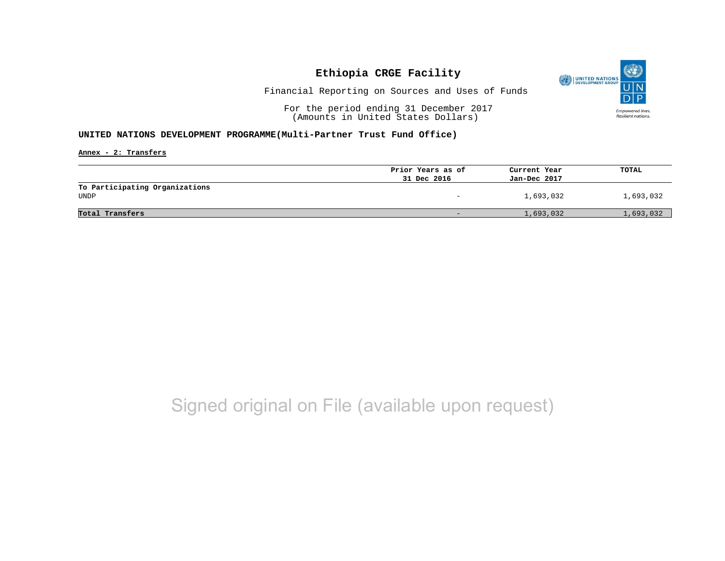

Financial Reporting on Sources and Uses of Funds

For the period ending 31 December 2017 (Amounts in United States Dollars)

#### **UNITED NATIONS DEVELOPMENT PROGRAMME(Multi-Partner Trust Fund Office)**

**Annex - 2: Transfers**

|                                | Prior Years as of        | Current Year | TOTAL     |
|--------------------------------|--------------------------|--------------|-----------|
|                                | 31 Dec 2016              | Jan-Dec 2017 |           |
| To Participating Organizations |                          |              |           |
| <b>UNDP</b>                    | $\overline{\phantom{0}}$ | 1,693,032    | 1,693,032 |
|                                |                          |              |           |
| Total Transfers                | $\overline{\phantom{0}}$ | 1,693,032    | 1,693,032 |
|                                |                          |              |           |

## Signed original on File (available upon request)